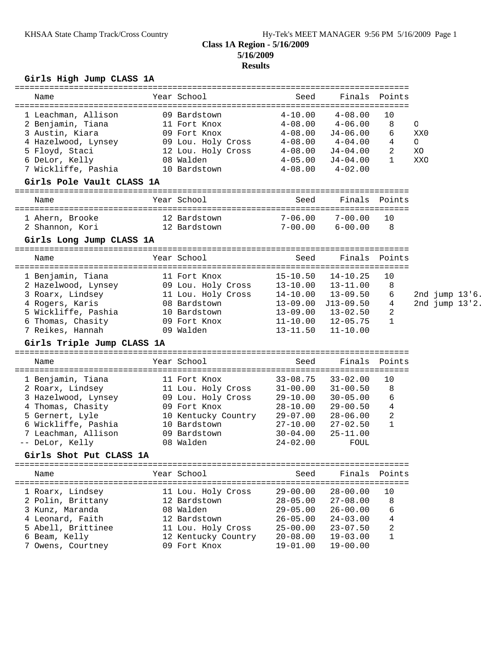# **Class 1A Region - 5/16/2009 5/16/2009**

### **Results**

## **Girls High Jump CLASS 1A**

| Name                       |  | Year School         | Seed         | Finals       | Points        |         |  |                |
|----------------------------|--|---------------------|--------------|--------------|---------------|---------|--|----------------|
|                            |  |                     |              |              |               |         |  |                |
| 1 Leachman, Allison        |  | 09 Bardstown        | $4 - 10.00$  | $4 - 08.00$  | 10            |         |  |                |
| 2 Benjamin, Tiana          |  | 11 Fort Knox        | $4 - 08.00$  | $4 - 06.00$  | 8             | O       |  |                |
| 3 Austin, Kiara            |  | 09 Fort Knox        | $4 - 08.00$  | $J4-06.00$   | 6             | XX0     |  |                |
| 4 Hazelwood, Lynsey        |  | 09 Lou. Holy Cross  | $4 - 08.00$  | $4 - 04.00$  | 4             | $\circ$ |  |                |
| 5 Floyd, Staci             |  | 12 Lou. Holy Cross  | 4-08.00      | J4-04.00     | 2             | XС      |  |                |
| 6 DeLor, Kelly             |  | 08 Walden           | $4 - 05.00$  | J4-04.00     | $\mathbf{1}$  | XXO     |  |                |
| 7 Wickliffe, Pashia        |  | 10 Bardstown        | $4 - 08.00$  | $4 - 02.00$  |               |         |  |                |
| Girls Pole Vault CLASS 1A  |  |                     |              |              |               |         |  |                |
| Name                       |  | Year School         | Seed         | Finals       | Points        |         |  |                |
| 1 Ahern, Brooke            |  | 12 Bardstown        | $7 - 06.00$  | $7 - 00.00$  | 10            |         |  |                |
| 2 Shannon, Kori            |  | 12 Bardstown        | 7-00.00      | $6 - 00.00$  | 8             |         |  |                |
| Girls Long Jump CLASS 1A   |  |                     |              |              |               |         |  |                |
|                            |  |                     |              |              |               |         |  |                |
| Name                       |  | Year School         | Seed         | Finals       | Points        |         |  |                |
| 1 Benjamin, Tiana          |  | 11 Fort Knox        | $15 - 10.50$ | $14 - 10.25$ | 10            |         |  |                |
| 2 Hazelwood, Lynsey        |  | 09 Lou. Holy Cross  | 13-10.00     | 13-11.00     | 8             |         |  |                |
| 3 Roarx, Lindsey           |  | 11 Lou. Holy Cross  | 14-10.00     | $13 - 09.50$ | 6             |         |  | 2nd jump 13'6. |
| 4 Rogers, Karis            |  | 08 Bardstown        | 13-09.00     | $J13-09.50$  | 4             |         |  | 2nd jump 13'2. |
| 5 Wickliffe, Pashia        |  | 10 Bardstown        | $13 - 09.00$ | $13 - 02.50$ | 2             |         |  |                |
| 6 Thomas, Chasity          |  | 09 Fort Knox        | $11 - 10.00$ | $12 - 05.75$ | $\mathbf{1}$  |         |  |                |
| 7 Reikes, Hannah           |  | 09 Walden           | $13 - 11.50$ | $11 - 10.00$ |               |         |  |                |
| Girls Triple Jump CLASS 1A |  |                     |              |              |               |         |  |                |
|                            |  |                     |              |              |               |         |  |                |
| Name                       |  | Year School         | Seed         | Finals       | Points        |         |  |                |
| 1 Benjamin, Tiana          |  | 11 Fort Knox        | $33 - 08.75$ | $33 - 02.00$ | 10            |         |  |                |
| 2 Roarx, Lindsey           |  | 11 Lou. Holy Cross  | $31 - 00.00$ | $31 - 00.50$ | 8             |         |  |                |
| 3 Hazelwood, Lynsey        |  | 09 Lou. Holy Cross  | $29 - 10.00$ | $30 - 05.00$ | 6             |         |  |                |
| 4 Thomas, Chasity          |  | 09 Fort Knox        | $28 - 10.00$ | $29 - 00.50$ | 4             |         |  |                |
| 5 Gernert, Lyle            |  | 10 Kentucky Country | $29 - 07.00$ | $28 - 06.00$ | 2             |         |  |                |
| 6 Wickliffe, Pashia        |  | 10 Bardstown        | $27 - 10.00$ | $27 - 02.50$ | $\mathbf{1}$  |         |  |                |
| 7 Leachman, Allison        |  | 09 Bardstown        | $30 - 04.00$ | $25 - 11.00$ |               |         |  |                |
| -- DeLor, Kelly            |  | 08 Walden           | $24 - 02.00$ | FOUL         |               |         |  |                |
| Girls Shot Put CLASS 1A    |  |                     |              |              |               |         |  |                |
| Name                       |  | Year School         | Seed         |              | Finals Points |         |  |                |
|                            |  |                     |              |              |               |         |  |                |
| 1 Roarx, Lindsey           |  | 11 Lou. Holy Cross  | $29 - 00.00$ | $28 - 00.00$ | 10            |         |  |                |
| 2 Polin, Brittany          |  | 12 Bardstown        | $28 - 05.00$ | $27 - 08.00$ | 8             |         |  |                |
| 3 Kunz, Maranda            |  | 08 Walden           | $29 - 05.00$ | $26 - 00.00$ | 6             |         |  |                |
| 4 Leonard, Faith           |  | 12 Bardstown        | $26 - 05.00$ | $24 - 03.00$ | 4             |         |  |                |
| 5 Abell, Brittinee         |  | 11 Lou. Holy Cross  | $25 - 00.00$ | $23 - 07.50$ | 2             |         |  |                |
| 6 Beam, Kelly              |  | 12 Kentucky Country | $20 - 08.00$ | $19 - 03.00$ | $\mathbf{1}$  |         |  |                |
| 7 Owens, Courtney          |  | 09 Fort Knox        | $19 - 01.00$ | $19 - 00.00$ |               |         |  |                |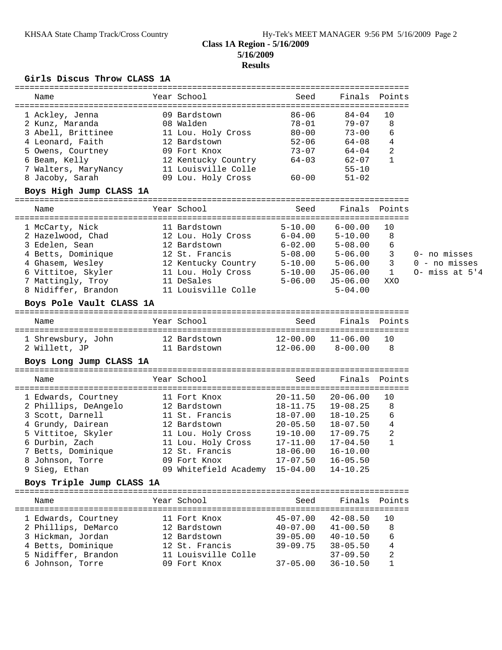### **Class 1A Region - 5/16/2009 5/16/2009 Results**

### **Girls Discus Throw CLASS 1A**

| Name                 | Year School         | Seed      | Finals Points |                |
|----------------------|---------------------|-----------|---------------|----------------|
| 1 Ackley, Jenna      | 09 Bardstown        | $86 - 06$ | $84 - 04$     | 10             |
| 2 Kunz, Maranda      | 08 Walden           | $78 - 01$ | $79 - 07$     | 8              |
| 3 Abell, Brittinee   | 11 Lou. Holy Cross  | $80 - 00$ | $73 - 00$     | 6              |
| 4 Leonard, Faith     | 12 Bardstown        | $52 - 06$ | $64 - 08$     | 4              |
| 5 Owens, Courtney    | 09 Fort Knox        | $73 - 07$ | $64 - 04$     | $\overline{2}$ |
| 6 Beam, Kelly        | 12 Kentucky Country | $64 - 03$ | $62 - 07$     | $\mathbf{1}$   |
| 7 Walters, MaryNancy | 11 Louisville Colle |           | $55 - 10$     |                |
| 8 Jacoby, Sarah      | 09 Lou. Holy Cross  | $60 - 00$ | $51 - 02$     |                |
|                      |                     |           |               |                |

#### **Boys High Jump CLASS 1A**

| Name                | Year School         | Seed        | Finals Points |     |                    |
|---------------------|---------------------|-------------|---------------|-----|--------------------|
| 1 McCarty, Nick     | 11 Bardstown        | $5 - 10.00$ | $6 - 00.00$   | 10  |                    |
| 2 Hazelwood, Chad   | 12 Lou. Holy Cross  | $6 - 04.00$ | $5 - 10.00$   | 8   |                    |
| 3 Edelen, Sean      | 12 Bardstown        | $6 - 02.00$ | $5 - 08.00$   | 6   |                    |
| 4 Betts, Dominique  | 12 St. Francis      | $5 - 08.00$ | $5 - 06.00$   |     | 0- no misses       |
| 4 Ghasem, Wesley    | 12 Kentucky Country | $5 - 10.00$ | $5 - 06.00$   | 3   | 0 - no misses      |
| 6 Vittitoe, Skyler  | 11 Lou. Holy Cross  | $5 - 10.00$ | J5-06.00      |     | $0-$ miss at $5'4$ |
| 7 Mattingly, Troy   | 11 DeSales          | $5 - 06.00$ | J5-06.00      | XXO |                    |
| 8 Nidiffer, Brandon | 11 Louisville Colle |             | $5 - 04.00$   |     |                    |
|                     |                     |             |               |     |                    |

**Boys Pole Vault CLASS 1A**

| Name               | Year School  | Seed     | Finals Points |    |
|--------------------|--------------|----------|---------------|----|
| 1 Shrewsbury, John | 12 Bardstown | 12-00 00 | $11 - 06.00$  | 10 |
| 2 Willett, JP      | 11 Bardstown | 12-06 00 | 8-00 00       | R  |

#### **Boys Long Jump CLASS 1A**

| Name                 | Year School           | Seed         | Finals Points |                |
|----------------------|-----------------------|--------------|---------------|----------------|
| 1 Edwards, Courtney  | 11 Fort Knox          | $20 - 11.50$ | $20 - 06.00$  | 10             |
| 2 Phillips, DeAngelo | 12 Bardstown          | $18 - 11.75$ | $19 - 08.25$  | 8              |
| 3 Scott, Darnell     | 11 St. Francis        | $18 - 07.00$ | $18 - 10.25$  | 6              |
| 4 Grundy, Dairean    | 12 Bardstown          | $20 - 05.50$ | $18 - 07.50$  | 4              |
| 5 Vittitoe, Skyler   | 11 Lou. Holy Cross    | $19 - 10.00$ | $17 - 09.75$  | $\overline{2}$ |
| 6 Durbin, Zach       | 11 Lou. Holy Cross    | $17 - 11.00$ | $17 - 04.50$  | 1              |
| 7 Betts, Dominique   | 12 St. Francis        | $18 - 06.00$ | $16 - 10.00$  |                |
| 8 Johnson, Torre     | 09 Fort Knox          | $17 - 07.50$ | $16 - 05.50$  |                |
| 9 Sieg, Ethan        | 09 Whitefield Academy | $15 - 04.00$ | $14 - 10.25$  |                |

#### **Boys Triple Jump CLASS 1A**

| Name                | Year School         | Seed         | Finals Points |     |
|---------------------|---------------------|--------------|---------------|-----|
| 1 Edwards, Courtney | 11 Fort Knox        | $45 - 07.00$ | $42 - 08.50$  | 1 O |
| 2 Phillips, DeMarco | 12 Bardstown        | $40 - 07.00$ | $41 - 00.50$  | 8   |
| 3 Hickman, Jordan   | 12 Bardstown        | $39 - 05.00$ | $40 - 10.50$  | 6   |
| 4 Betts, Dominique  | 12 St. Francis      | $39 - 09.75$ | $38 - 05.50$  | 4   |
| 5 Nidiffer, Brandon | 11 Louisville Colle |              | $37 - 09.50$  | 2   |
| 6 Johnson, Torre    | 09 Fort Knox        | $37 - 05.00$ | $36 - 10.50$  |     |
|                     |                     |              |               |     |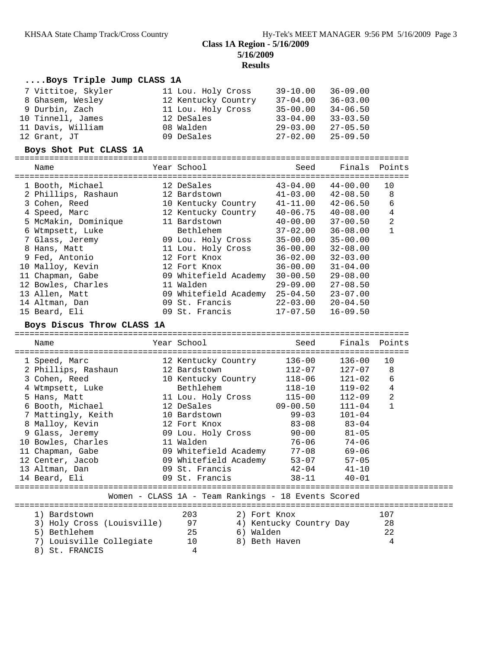# **Class 1A Region - 5/16/2009 5/16/2009**

**Results**

| Boys Triple Jump CLASS 1A                                     |                                                     |                                           |                              |               |
|---------------------------------------------------------------|-----------------------------------------------------|-------------------------------------------|------------------------------|---------------|
| 7 Vittitoe, Skyler                                            | 11 Lou. Holy Cross                                  | $39 - 10.00$                              | $36 - 09.00$                 |               |
| 8 Ghasem, Wesley                                              | 12 Kentucky Country                                 | $37 - 04.00$                              | $36 - 03.00$                 |               |
| 9 Durbin, Zach                                                | 11 Lou. Holy Cross                                  |                                           | $34 - 06.50$                 |               |
| 10 Tinnell, James                                             | 12 DeSales                                          | 35-00.00<br>33-04.00                      | $33 - 03.50$                 |               |
| 11 Davis, William                                             | 08 Walden                                           | $29 - 03.00$                              | $27 - 05.50$                 |               |
| 12 Grant, JT                                                  | 09 DeSales                                          | $27 - 02.00$                              | $25 - 09.50$                 |               |
| Boys Shot Put CLASS 1A                                        |                                                     |                                           |                              |               |
|                                                               |                                                     |                                           |                              |               |
| Name                                                          | Year School                                         | Seed                                      | Finals Points                |               |
| 1 Booth, Michael                                              | 12 DeSales                                          |                                           | $43 - 04.00$ $44 - 00.00$    | 10            |
|                                                               |                                                     |                                           |                              |               |
| 2 Phillips, Rashaun<br>3 Cohen, Reed                          | 12 Bardstown<br>10 Kentucky Country                 | $41 - 03.00$ $42 - 08.50$                 | $42 - 06.50$                 | 8<br>6        |
| 4 Speed, Marc                                                 | 12 Kentucky Country                                 | $41 - 11.00$                              |                              | 4             |
|                                                               |                                                     | $40 - 06.75$ $40 - 08.00$<br>$40 - 00.00$ |                              |               |
| 5 McMakin, Dominique                                          | 11 Bardstown<br>Bethlehem                           | $37 - 02.00$                              | $37 - 00.50$                 | 2<br>1        |
| 6 Wtmpsett, Luke<br>7 Glass, Jeremy                           |                                                     | $35 - 00.00$                              | $36 - 08.00$<br>$35 - 00.00$ |               |
|                                                               | 09 Lou. Holy Cross                                  |                                           |                              |               |
| 8 Hans, Matt<br>9 Fed, Antonio                                | 11 Lou. Holy Cross<br>12 Fort Knox                  | $36 - 00.00$<br>$36 - 02.00$              | $32 - 08.00$<br>$32 - 03.00$ |               |
| 10 Malloy, Kevin                                              | 12 Fort Knox                                        | 36-00.00                                  | $31 - 04.00$                 |               |
| 11 Chapman, Gabe                                              | 09 Whitefield Academy 30-00.50                      |                                           | $29 - 08.00$                 |               |
| 12 Bowles, Charles                                            | 11 Walden                                           | $29 - 09.00$                              | $27 - 08.50$                 |               |
| 13 Allen, Matt                                                | 09 Whitefield Academy 25-04.50                      |                                           | $23 - 07.00$                 |               |
|                                                               | 09 St. Francis                                      | 22-03.00                                  | $20 - 04.50$                 |               |
|                                                               |                                                     |                                           |                              |               |
|                                                               |                                                     |                                           |                              |               |
| 14 Altman, Dan<br>15 Beard, Eli<br>Boys Discus Throw CLASS 1A | 09 St. Francis                                      | $17 - 07.50$                              | $16 - 09.50$                 |               |
| Name                                                          | Year School                                         | Seed                                      |                              | Finals Points |
|                                                               |                                                     |                                           |                              |               |
| 1 Speed, Marc                                                 | 12 Kentucky Country                                 | $136 - 00$                                | $136 - 00$                   | 10            |
| 2 Phillips, Rashaun                                           | 12 Bardstown                                        | $112 - 07$                                | $127 - 07$                   | 8             |
| 3 Cohen, Reed                                                 | 10 Kentucky Country                                 | $118 - 06$                                | 121-02                       | 6             |
| 4 Wtmpsett, Luke                                              | Bethlehem                                           | 118-10                                    | 119-02                       | 4             |
| 5 Hans, Matt                                                  | 11 Lou. Holy Cross                                  | $115 - 00$                                | $112 - 09$                   | 2             |
| 6 Booth, Michael                                              | 12 DeSales                                          | $09 - 00.50$                              | $111 - 04$                   | $\mathbf{1}$  |
| 7 Mattingly, Keith                                            | 10 Bardstown                                        | 99-03                                     | $101 - 04$                   |               |
| 8 Malloy, Kevin                                               |                                                     | $83 - 08$                                 | 83-04                        |               |
| 9 Glass, Jeremy                                               | $12$ Fort Knox<br>09 Lou. Holy Cross                | $90 - 00$                                 | $81 - 05$                    |               |
| 10 Bowles, Charles                                            | 11 Walden barrama ku mwaka 1                        | $76 - 06$                                 | 74-06                        |               |
| 11 Chapman, Gabe                                              | 09 Whitefield Academy                               | $77 - 08$                                 | $69 - 06$                    |               |
|                                                               | 09 Whitefield Academy                               | $53 - 07$                                 | $57 - 05$                    |               |
|                                                               | 09 St. Francis                                      | $42 - 04$                                 | $41 - 10$                    |               |
| 12 Center, Jacob<br>13 Altman, Dan<br>14 Beard, Eli           | 09 St. Francis                                      | $38 - 11$                                 | $40 - 01$                    |               |
|                                                               | Women - CLASS 1A - Team Rankings - 18 Events Scored |                                           |                              |               |
|                                                               |                                                     |                                           |                              |               |
| 1) Bardstown                                                  | 2) Fort Knox<br>203                                 |                                           |                              | 107           |
| 3) Holy Cross (Louisville)                                    | 97                                                  | 4) Kentucky Country Day                   |                              | 28            |
| 5) Bethlehem                                                  | 25<br>6) Walden                                     |                                           |                              | 22            |
| 7) Louisville Collegiate<br>8) St. FRANCIS                    | 8) Beth Haven<br>10                                 |                                           |                              | 4             |